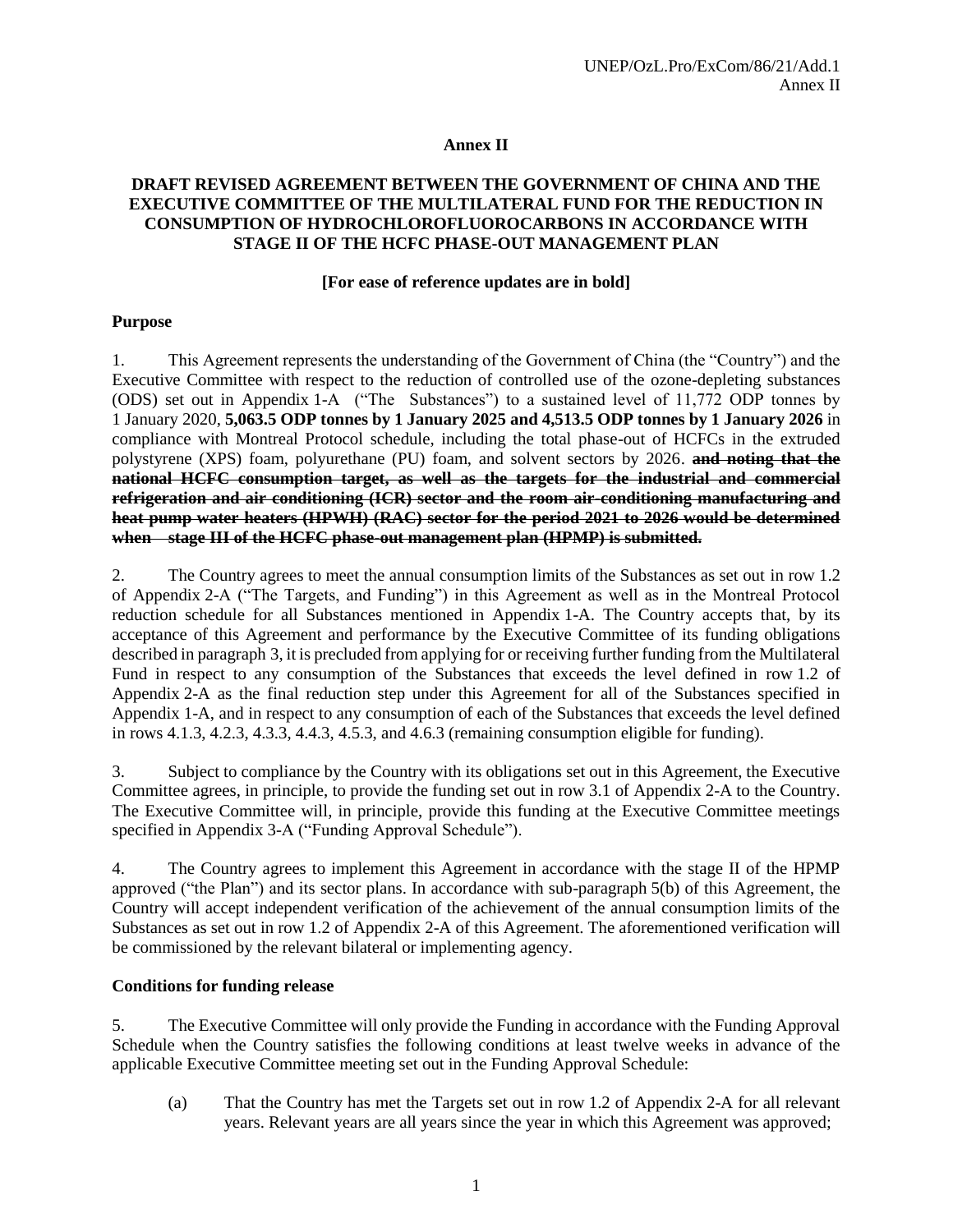### **Annex II**

#### **DRAFT REVISED AGREEMENT BETWEEN THE GOVERNMENT OF CHINA AND THE EXECUTIVE COMMITTEE OF THE MULTILATERAL FUND FOR THE REDUCTION IN CONSUMPTION OF HYDROCHLOROFLUOROCARBONS IN ACCORDANCE WITH STAGE II OF THE HCFC PHASE-OUT MANAGEMENT PLAN**

#### **[For ease of reference updates are in bold]**

#### **Purpose**

1. This Agreement represents the understanding of the Government of China (the "Country") and the Executive Committee with respect to the reduction of controlled use of the ozone-depleting substances (ODS) set out in Appendix 1-A ("The Substances") to a sustained level of 11,772 ODP tonnes by 1 January 2020, **5,063.5 ODP tonnes by 1 January 2025 and 4,513.5 ODP tonnes by 1 January 2026** in compliance with Montreal Protocol schedule, including the total phase-out of HCFCs in the extruded polystyrene (XPS) foam, polyurethane (PU) foam, and solvent sectors by 2026. **and noting that the national HCFC consumption target, as well as the targets for the industrial and commercial refrigeration and air conditioning (ICR) sector and the room air-conditioning manufacturing and heat pump water heaters (HPWH) (RAC) sector for the period 2021 to 2026 would be determined when stage III of the HCFC phase-out management plan (HPMP) is submitted.**

2. The Country agrees to meet the annual consumption limits of the Substances as set out in row 1.2 of Appendix 2-A ("The Targets, and Funding") in this Agreement as well as in the Montreal Protocol reduction schedule for all Substances mentioned in Appendix 1-A. The Country accepts that, by its acceptance of this Agreement and performance by the Executive Committee of its funding obligations described in paragraph 3, it is precluded from applying for or receiving further funding from the Multilateral Fund in respect to any consumption of the Substances that exceeds the level defined in row 1.2 of Appendix 2-A as the final reduction step under this Agreement for all of the Substances specified in Appendix 1-A, and in respect to any consumption of each of the Substances that exceeds the level defined in rows 4.1.3, 4.2.3, 4.3.3, 4.4.3, 4.5.3, and 4.6.3 (remaining consumption eligible for funding).

3. Subject to compliance by the Country with its obligations set out in this Agreement, the Executive Committee agrees, in principle, to provide the funding set out in row 3.1 of Appendix 2-A to the Country. The Executive Committee will, in principle, provide this funding at the Executive Committee meetings specified in Appendix 3-A ("Funding Approval Schedule").

4. The Country agrees to implement this Agreement in accordance with the stage II of the HPMP approved ("the Plan") and its sector plans. In accordance with sub-paragraph 5(b) of this Agreement, the Country will accept independent verification of the achievement of the annual consumption limits of the Substances as set out in row 1.2 of Appendix 2-A of this Agreement. The aforementioned verification will be commissioned by the relevant bilateral or implementing agency.

#### **Conditions for funding release**

5. The Executive Committee will only provide the Funding in accordance with the Funding Approval Schedule when the Country satisfies the following conditions at least twelve weeks in advance of the applicable Executive Committee meeting set out in the Funding Approval Schedule:

(a) That the Country has met the Targets set out in row 1.2 of Appendix 2-A for all relevant years. Relevant years are all years since the year in which this Agreement was approved;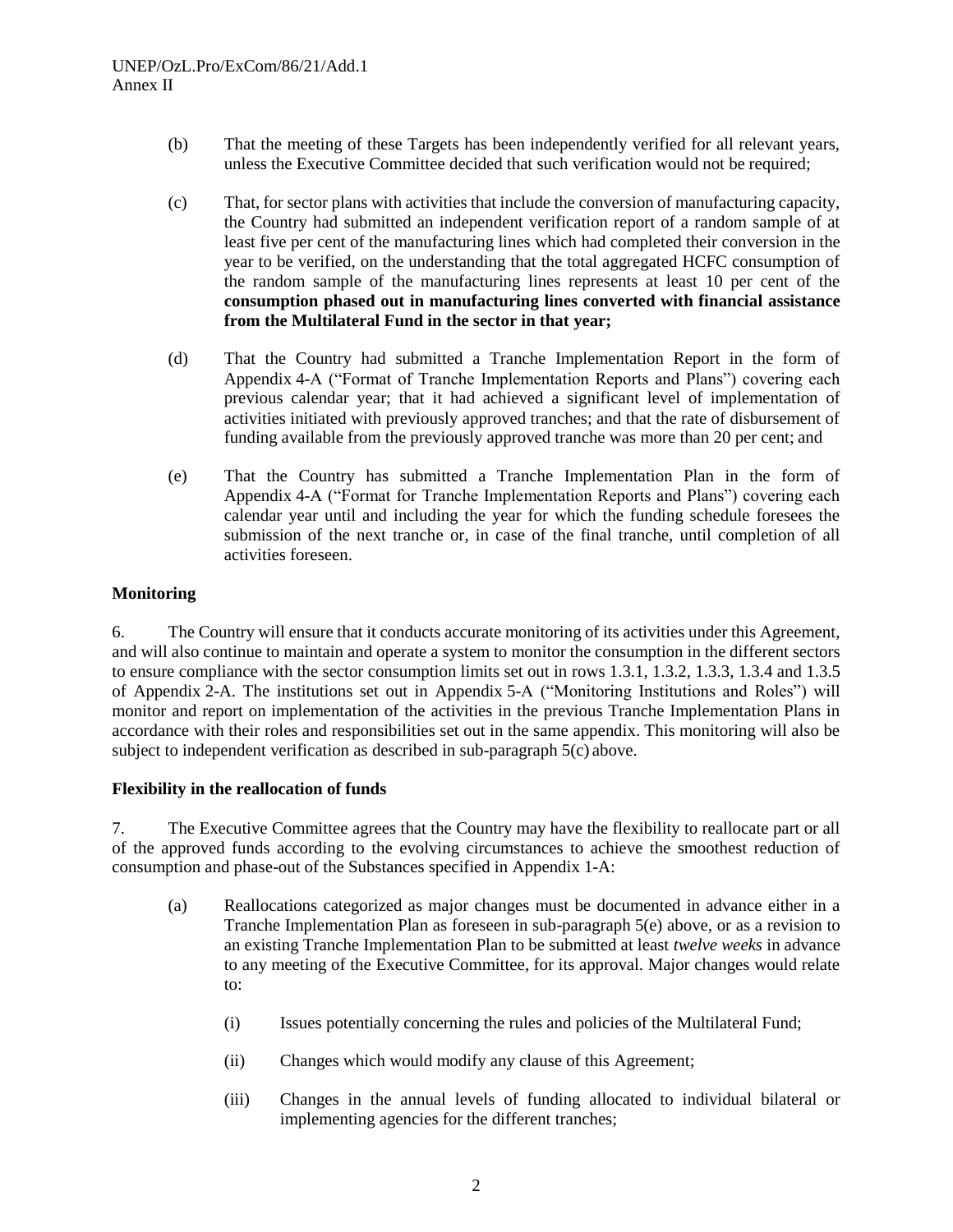- (b) That the meeting of these Targets has been independently verified for all relevant years, unless the Executive Committee decided that such verification would not be required;
- (c) That, for sector plans with activities that include the conversion of manufacturing capacity, the Country had submitted an independent verification report of a random sample of at least five per cent of the manufacturing lines which had completed their conversion in the year to be verified, on the understanding that the total aggregated HCFC consumption of the random sample of the manufacturing lines represents at least 10 per cent of the **consumption phased out in manufacturing lines converted with financial assistance from the Multilateral Fund in the sector in that year;**
- (d) That the Country had submitted a Tranche Implementation Report in the form of Appendix 4-A ("Format of Tranche Implementation Reports and Plans") covering each previous calendar year; that it had achieved a significant level of implementation of activities initiated with previously approved tranches; and that the rate of disbursement of funding available from the previously approved tranche was more than 20 per cent; and
- (e) That the Country has submitted a Tranche Implementation Plan in the form of Appendix 4-A ("Format for Tranche Implementation Reports and Plans") covering each calendar year until and including the year for which the funding schedule foresees the submission of the next tranche or, in case of the final tranche, until completion of all activities foreseen.

# **Monitoring**

6. The Country will ensure that it conducts accurate monitoring of its activities under this Agreement, and will also continue to maintain and operate a system to monitor the consumption in the different sectors to ensure compliance with the sector consumption limits set out in rows 1.3.1, 1.3.2, 1.3.3, 1.3.4 and 1.3.5 of Appendix 2-A. The institutions set out in Appendix 5-A ("Monitoring Institutions and Roles") will monitor and report on implementation of the activities in the previous Tranche Implementation Plans in accordance with their roles and responsibilities set out in the same appendix. This monitoring will also be subject to independent verification as described in sub-paragraph 5(c) above.

#### **Flexibility in the reallocation of funds**

7. The Executive Committee agrees that the Country may have the flexibility to reallocate part or all of the approved funds according to the evolving circumstances to achieve the smoothest reduction of consumption and phase-out of the Substances specified in Appendix 1-A:

- (a) Reallocations categorized as major changes must be documented in advance either in a Tranche Implementation Plan as foreseen in sub-paragraph 5(e) above, or as a revision to an existing Tranche Implementation Plan to be submitted at least *twelve weeks* in advance to any meeting of the Executive Committee, for its approval. Major changes would relate to:
	- (i) Issues potentially concerning the rules and policies of the Multilateral Fund;
	- (ii) Changes which would modify any clause of this Agreement;
	- (iii) Changes in the annual levels of funding allocated to individual bilateral or implementing agencies for the different tranches;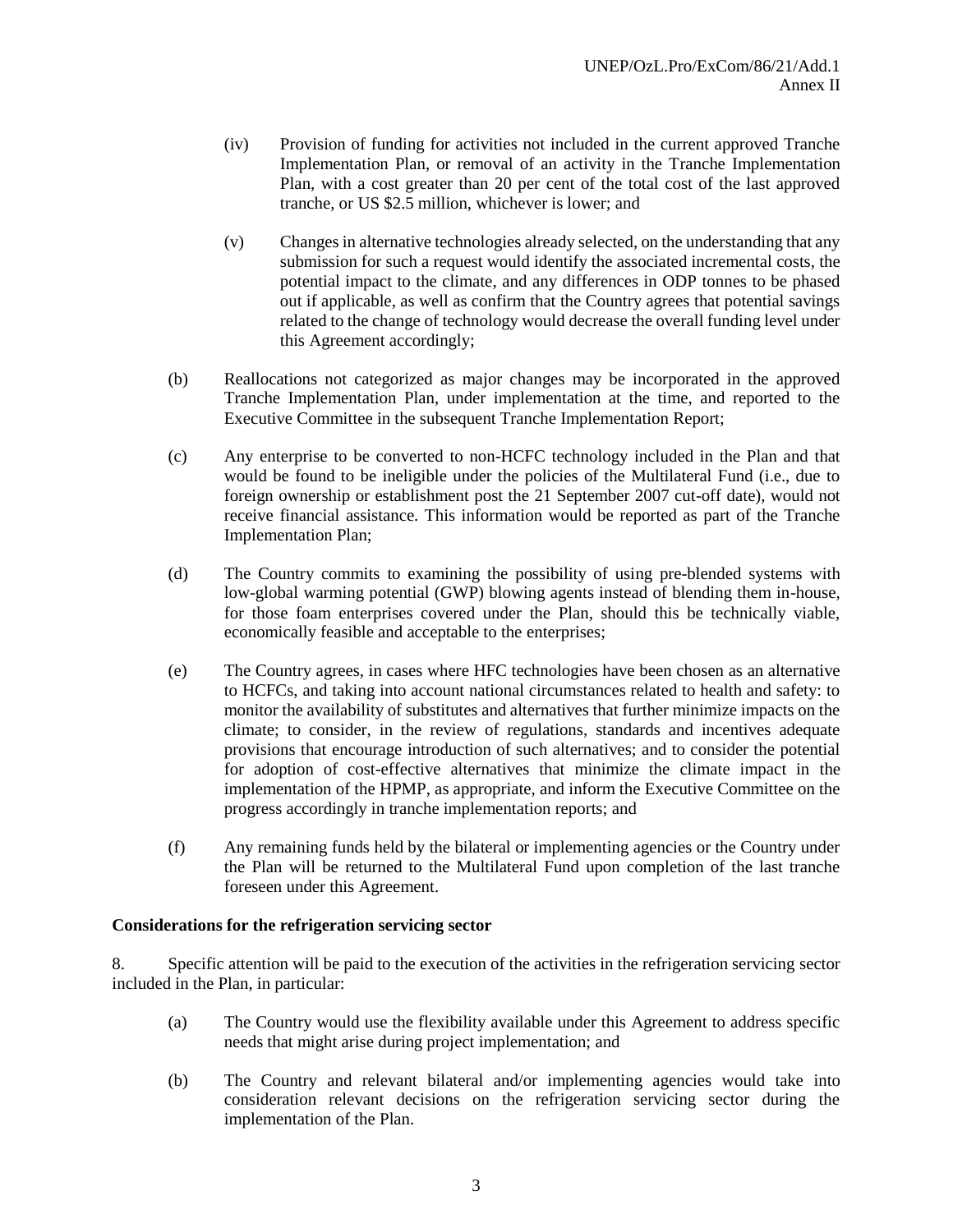- (iv) Provision of funding for activities not included in the current approved Tranche Implementation Plan, or removal of an activity in the Tranche Implementation Plan, with a cost greater than 20 per cent of the total cost of the last approved tranche, or US \$2.5 million, whichever is lower; and
- (v) Changes in alternative technologies already selected, on the understanding that any submission for such a request would identify the associated incremental costs, the potential impact to the climate, and any differences in ODP tonnes to be phased out if applicable, as well as confirm that the Country agrees that potential savings related to the change of technology would decrease the overall funding level under this Agreement accordingly;
- (b) Reallocations not categorized as major changes may be incorporated in the approved Tranche Implementation Plan, under implementation at the time, and reported to the Executive Committee in the subsequent Tranche Implementation Report;
- (c) Any enterprise to be converted to non-HCFC technology included in the Plan and that would be found to be ineligible under the policies of the Multilateral Fund (i.e., due to foreign ownership or establishment post the 21 September 2007 cut-off date), would not receive financial assistance. This information would be reported as part of the Tranche Implementation Plan;
- (d) The Country commits to examining the possibility of using pre-blended systems with low-global warming potential (GWP) blowing agents instead of blending them in-house, for those foam enterprises covered under the Plan, should this be technically viable, economically feasible and acceptable to the enterprises;
- (e) The Country agrees, in cases where HFC technologies have been chosen as an alternative to HCFCs, and taking into account national circumstances related to health and safety: to monitor the availability of substitutes and alternatives that further minimize impacts on the climate; to consider, in the review of regulations, standards and incentives adequate provisions that encourage introduction of such alternatives; and to consider the potential for adoption of cost-effective alternatives that minimize the climate impact in the implementation of the HPMP, as appropriate, and inform the Executive Committee on the progress accordingly in tranche implementation reports; and
- (f) Any remaining funds held by the bilateral or implementing agencies or the Country under the Plan will be returned to the Multilateral Fund upon completion of the last tranche foreseen under this Agreement.

#### **Considerations for the refrigeration servicing sector**

8. Specific attention will be paid to the execution of the activities in the refrigeration servicing sector included in the Plan, in particular:

- (a) The Country would use the flexibility available under this Agreement to address specific needs that might arise during project implementation; and
- (b) The Country and relevant bilateral and/or implementing agencies would take into consideration relevant decisions on the refrigeration servicing sector during the implementation of the Plan.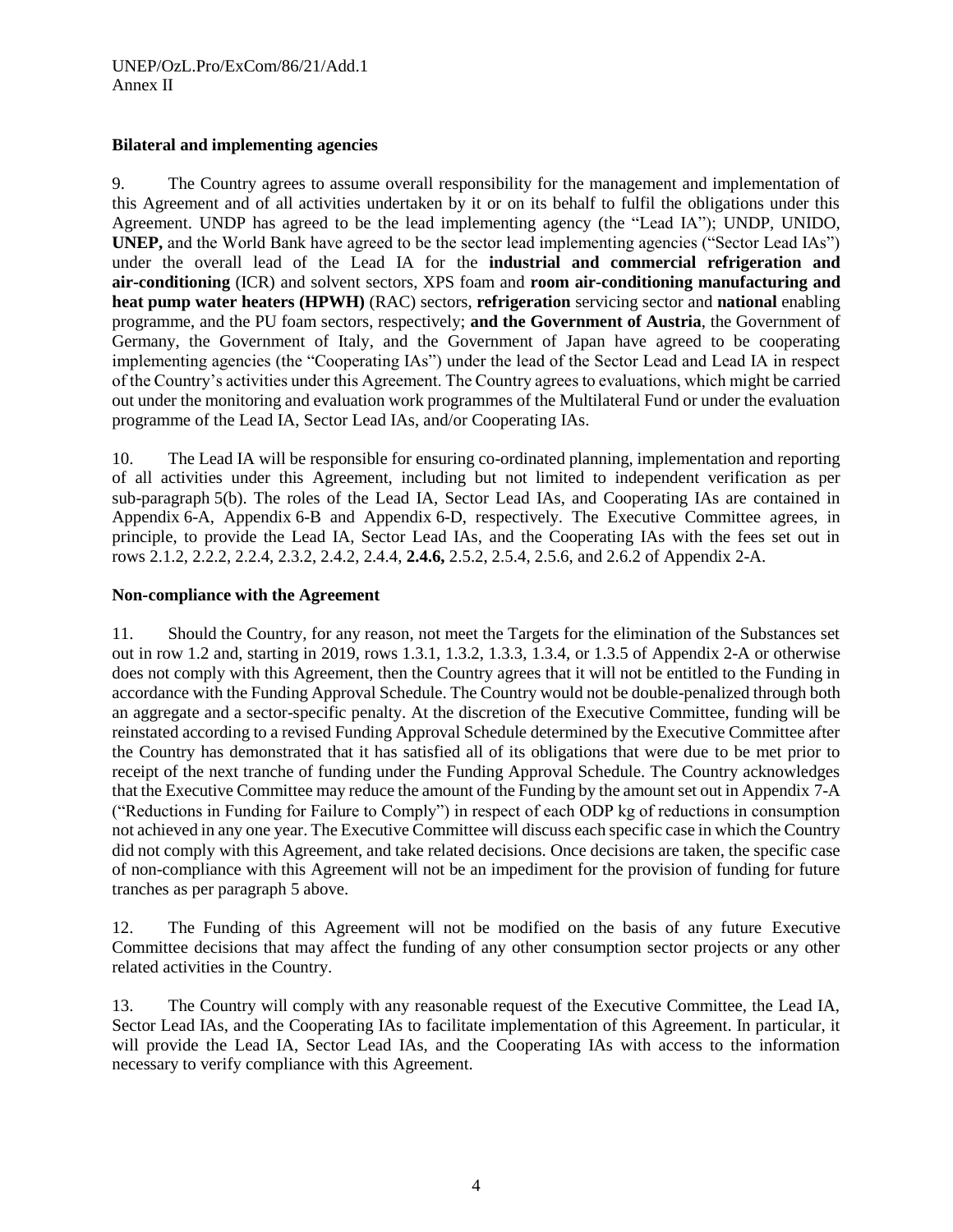### **Bilateral and implementing agencies**

9. The Country agrees to assume overall responsibility for the management and implementation of this Agreement and of all activities undertaken by it or on its behalf to fulfil the obligations under this Agreement. UNDP has agreed to be the lead implementing agency (the "Lead IA"); UNDP, UNIDO, **UNEP,** and the World Bank have agreed to be the sector lead implementing agencies ("Sector Lead IAs") under the overall lead of the Lead IA for the **industrial and commercial refrigeration and air-conditioning** (ICR) and solvent sectors, XPS foam and **room air-conditioning manufacturing and heat pump water heaters (HPWH)** (RAC) sectors, **refrigeration** servicing sector and **national** enabling programme, and the PU foam sectors, respectively; **and the Government of Austria**, the Government of Germany, the Government of Italy, and the Government of Japan have agreed to be cooperating implementing agencies (the "Cooperating IAs") under the lead of the Sector Lead and Lead IA in respect of the Country's activities under this Agreement. The Country agrees to evaluations, which might be carried out under the monitoring and evaluation work programmes of the Multilateral Fund or under the evaluation programme of the Lead IA, Sector Lead IAs, and/or Cooperating IAs.

10. The Lead IA will be responsible for ensuring co-ordinated planning, implementation and reporting of all activities under this Agreement, including but not limited to independent verification as per sub-paragraph 5(b). The roles of the Lead IA, Sector Lead IAs, and Cooperating IAs are contained in Appendix 6-A, Appendix 6-B and Appendix 6-D, respectively. The Executive Committee agrees, in principle, to provide the Lead IA, Sector Lead IAs, and the Cooperating IAs with the fees set out in rows 2.1.2, 2.2.2, 2.2.4, 2.3.2, 2.4.2, 2.4.4, **2.4.6,** 2.5.2, 2.5.4, 2.5.6, and 2.6.2 of Appendix 2-A.

# **Non-compliance with the Agreement**

11. Should the Country, for any reason, not meet the Targets for the elimination of the Substances set out in row 1.2 and, starting in 2019, rows 1.3.1, 1.3.2, 1.3.3, 1.3.4, or 1.3.5 of Appendix 2-A or otherwise does not comply with this Agreement, then the Country agrees that it will not be entitled to the Funding in accordance with the Funding Approval Schedule. The Country would not be double-penalized through both an aggregate and a sector-specific penalty. At the discretion of the Executive Committee, funding will be reinstated according to a revised Funding Approval Schedule determined by the Executive Committee after the Country has demonstrated that it has satisfied all of its obligations that were due to be met prior to receipt of the next tranche of funding under the Funding Approval Schedule. The Country acknowledges that the Executive Committee may reduce the amount of the Funding by the amount set out in Appendix 7-A ("Reductions in Funding for Failure to Comply") in respect of each ODP kg of reductions in consumption not achieved in any one year. The Executive Committee will discuss each specific case in which the Country did not comply with this Agreement, and take related decisions. Once decisions are taken, the specific case of non-compliance with this Agreement will not be an impediment for the provision of funding for future tranches as per paragraph 5 above.

12. The Funding of this Agreement will not be modified on the basis of any future Executive Committee decisions that may affect the funding of any other consumption sector projects or any other related activities in the Country.

13. The Country will comply with any reasonable request of the Executive Committee, the Lead IA, Sector Lead IAs, and the Cooperating IAs to facilitate implementation of this Agreement. In particular, it will provide the Lead IA, Sector Lead IAs, and the Cooperating IAs with access to the information necessary to verify compliance with this Agreement.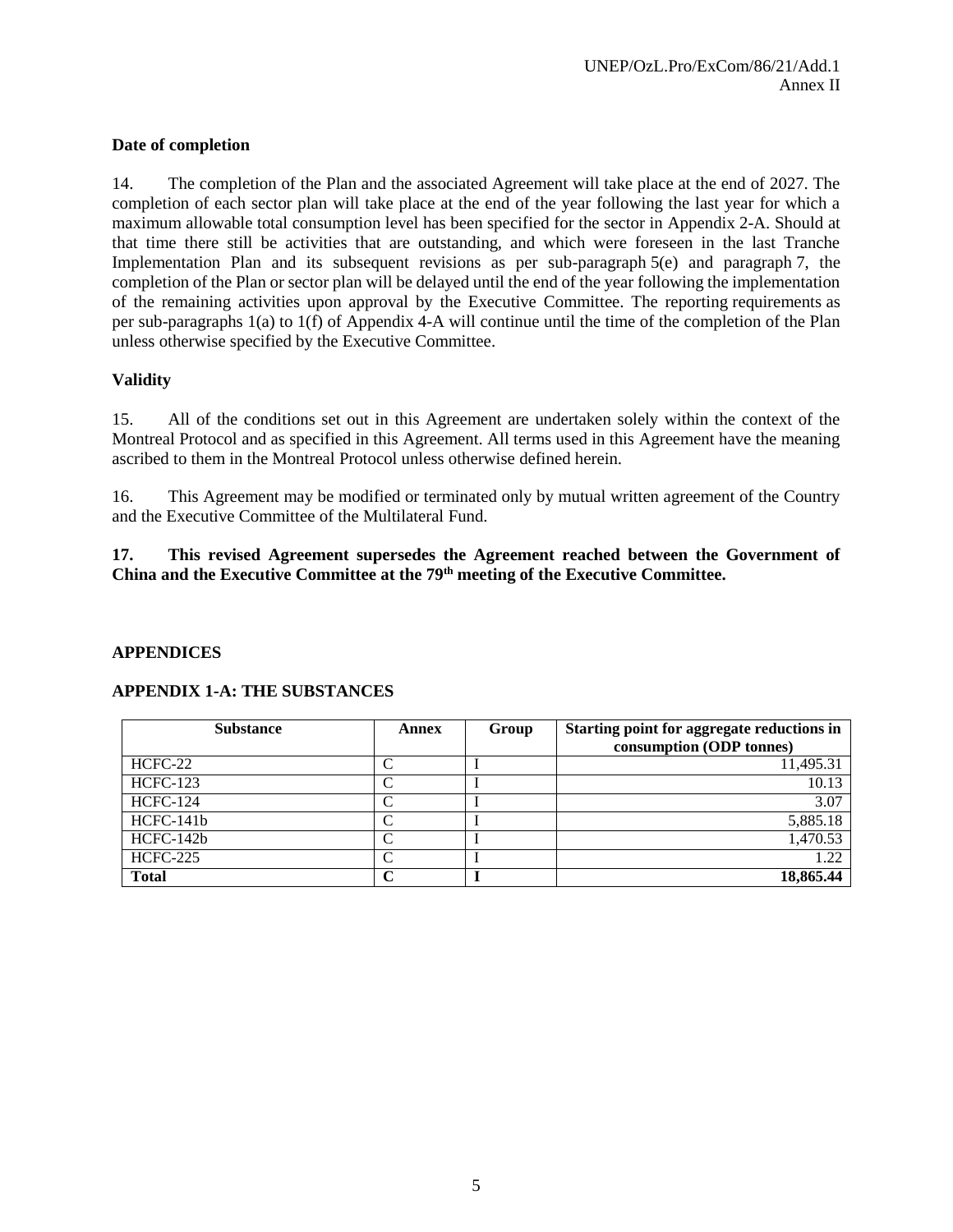## **Date of completion**

14. The completion of the Plan and the associated Agreement will take place at the end of 2027. The completion of each sector plan will take place at the end of the year following the last year for which a maximum allowable total consumption level has been specified for the sector in Appendix 2-A. Should at that time there still be activities that are outstanding, and which were foreseen in the last Tranche Implementation Plan and its subsequent revisions as per sub-paragraph 5(e) and paragraph 7, the completion of the Plan or sector plan will be delayed until the end of the year following the implementation of the remaining activities upon approval by the Executive Committee. The reporting requirements as per sub-paragraphs 1(a) to 1(f) of Appendix 4-A will continue until the time of the completion of the Plan unless otherwise specified by the Executive Committee.

### **Validity**

15. All of the conditions set out in this Agreement are undertaken solely within the context of the Montreal Protocol and as specified in this Agreement. All terms used in this Agreement have the meaning ascribed to them in the Montreal Protocol unless otherwise defined herein.

16. This Agreement may be modified or terminated only by mutual written agreement of the Country and the Executive Committee of the Multilateral Fund.

### **17. This revised Agreement supersedes the Agreement reached between the Government of China and the Executive Committee at the 79th meeting of the Executive Committee.**

#### **APPENDICES**

| <b>Substance</b> | Annex              | Group | Starting point for aggregate reductions in<br>consumption (ODP tonnes) |
|------------------|--------------------|-------|------------------------------------------------------------------------|
| HCFC-22          |                    |       | 11,495.31                                                              |
| <b>HCFC-123</b>  |                    |       | 10.13                                                                  |
| <b>HCFC-124</b>  | $\curvearrowright$ |       | 3.07                                                                   |
| $HCFC-141b$      |                    |       | 5,885.18                                                               |
| $HCFC-142b$      |                    |       | 1,470.53                                                               |
| <b>HCFC-225</b>  |                    |       | 1.22                                                                   |
| <b>Total</b>     |                    |       | $18,865.\overline{44}$                                                 |

#### **APPENDIX 1-A: THE SUBSTANCES**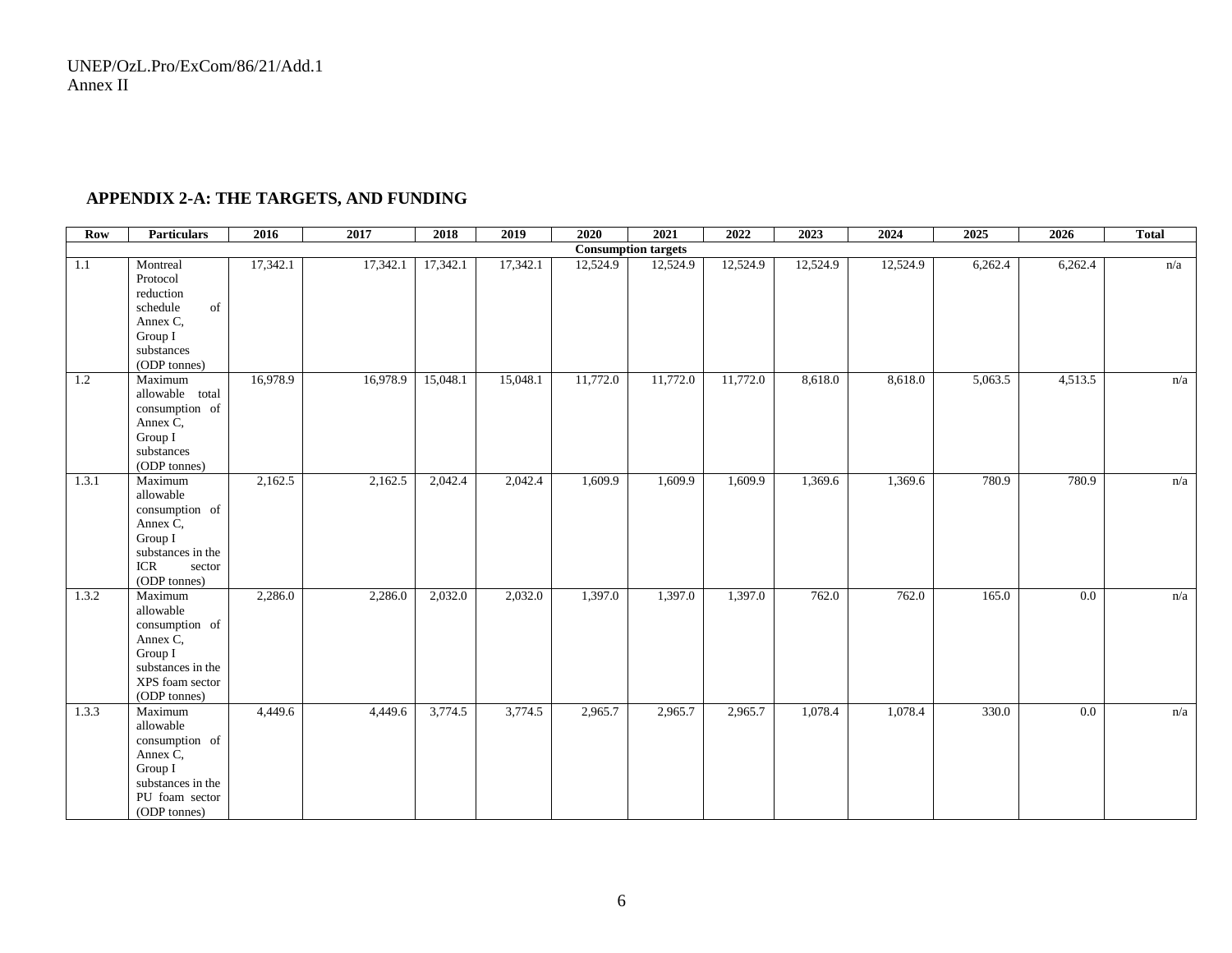# **APPENDIX 2-A: THE TARGETS, AND FUNDING**

| <b>Row</b> | <b>Particulars</b>                                                                                                                                   | 2016     | 2017     | 2018     | 2019     | 2020     | 2021     | 2022     | 2023     | 2024     | 2025    | 2026             | <b>Total</b> |
|------------|------------------------------------------------------------------------------------------------------------------------------------------------------|----------|----------|----------|----------|----------|----------|----------|----------|----------|---------|------------------|--------------|
|            | <b>Consumption targets</b>                                                                                                                           |          |          |          |          |          |          |          |          |          |         |                  |              |
| 1.1        | Montreal<br>Protocol<br>reduction<br>$% \left\vert \cdot \right\rangle _{0}$ of<br>schedule<br>Annex C.<br>Group I<br>substances<br>(ODP tonnes)     | 17,342.1 | 17,342.1 | 17,342.1 | 17,342.1 | 12,524.9 | 12,524.9 | 12,524.9 | 12,524.9 | 12,524.9 | 6,262.4 | 6,262.4          | n/a          |
| 1.2        | Maximum<br>allowable total<br>consumption of<br>Annex C,<br>Group I<br>substances<br>(ODP tonnes)                                                    | 16,978.9 | 16,978.9 | 15,048.1 | 15,048.1 | 11,772.0 | 11,772.0 | 11,772.0 | 8,618.0  | 8,618.0  | 5,063.5 | 4,513.5          | n/a          |
| 1.3.1      | Maximum<br>allowable<br>consumption of<br>Annex C,<br>Group I<br>substances in the<br>$\ensuremath{\textup{\textbf{ICR}}}$<br>sector<br>(ODP tonnes) | 2,162.5  | 2,162.5  | 2,042.4  | 2,042.4  | 1,609.9  | 1,609.9  | 1,609.9  | 1,369.6  | 1,369.6  | 780.9   | 780.9            | n/a          |
| 1.3.2      | Maximum<br>allowable<br>consumption of<br>Annex C,<br>Group I<br>substances in the<br>XPS foam sector<br>(ODP tonnes)                                | 2,286.0  | 2,286.0  | 2,032.0  | 2,032.0  | 1,397.0  | 1,397.0  | 1,397.0  | 762.0    | 762.0    | 165.0   | 0.0              | n/a          |
| 1.3.3      | Maximum<br>allowable<br>consumption of<br>Annex C,<br>Group I<br>substances in the<br>PU foam sector<br>(ODP tonnes)                                 | 4,449.6  | 4,449.6  | 3,774.5  | 3,774.5  | 2,965.7  | 2,965.7  | 2,965.7  | 1,078.4  | 1,078.4  | 330.0   | $\overline{0.0}$ | n/a          |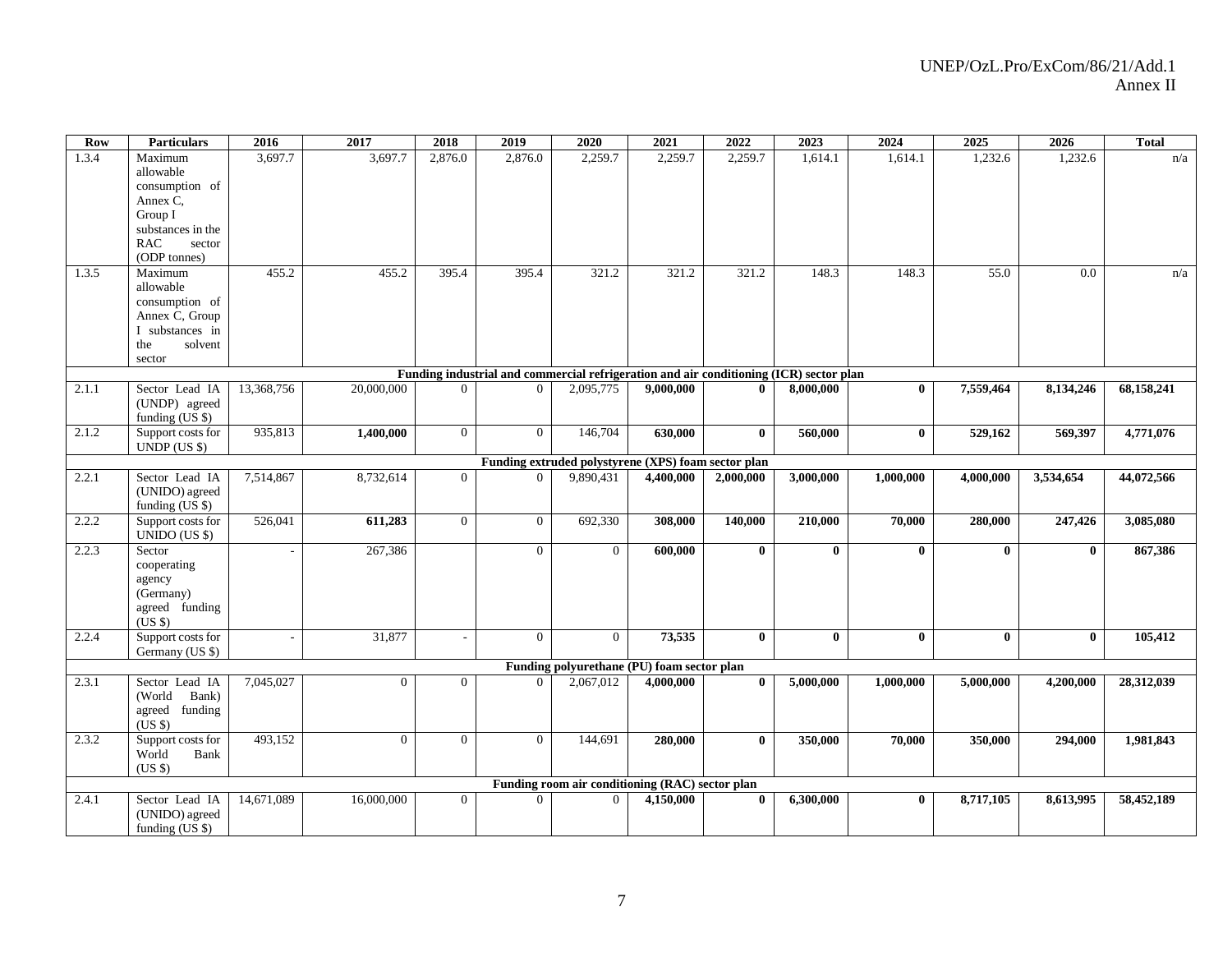| Row   | <b>Particulars</b>                                                                     | 2016       | 2017           | 2018           | 2019           | 2020                                                        | 2021      | 2022         | 2023                   | 2024         | 2025         | 2026         | <b>Total</b> |
|-------|----------------------------------------------------------------------------------------|------------|----------------|----------------|----------------|-------------------------------------------------------------|-----------|--------------|------------------------|--------------|--------------|--------------|--------------|
| 1.3.4 | Maximum                                                                                | 3,697.7    | 3,697.7        | 2,876.0        | 2,876.0        | 2,259.7                                                     | 2,259.7   | 2,259.7      | 1,614.1                | 1,614.1      | 1,232.6      | 1,232.6      | n/a          |
|       | allowable                                                                              |            |                |                |                |                                                             |           |              |                        |              |              |              |              |
|       | consumption of                                                                         |            |                |                |                |                                                             |           |              |                        |              |              |              |              |
|       | Annex C,                                                                               |            |                |                |                |                                                             |           |              |                        |              |              |              |              |
|       | Group I                                                                                |            |                |                |                |                                                             |           |              |                        |              |              |              |              |
|       | substances in the                                                                      |            |                |                |                |                                                             |           |              |                        |              |              |              |              |
|       | <b>RAC</b><br>sector                                                                   |            |                |                |                |                                                             |           |              |                        |              |              |              |              |
|       | (ODP tonnes)                                                                           |            |                |                |                |                                                             |           |              |                        |              |              |              |              |
| 1.3.5 | Maximum                                                                                | 455.2      | 455.2          | 395.4          | 395.4          | 321.2                                                       | 321.2     | 321.2        | 148.3                  | 148.3        | 55.0         | 0.0          | n/a          |
|       | allowable                                                                              |            |                |                |                |                                                             |           |              |                        |              |              |              |              |
|       | consumption of                                                                         |            |                |                |                |                                                             |           |              |                        |              |              |              |              |
|       | Annex C, Group                                                                         |            |                |                |                |                                                             |           |              |                        |              |              |              |              |
|       | I substances in                                                                        |            |                |                |                |                                                             |           |              |                        |              |              |              |              |
|       | the<br>solvent                                                                         |            |                |                |                |                                                             |           |              |                        |              |              |              |              |
|       | sector                                                                                 |            |                |                |                |                                                             |           |              |                        |              |              |              |              |
|       | Funding industrial and commercial refrigeration and air conditioning (ICR) sector plan |            |                |                |                |                                                             |           |              |                        |              |              |              |              |
| 2.1.1 | Sector Lead IA                                                                         | 13,368,756 | 20,000,000     | $\Omega$       | $\Omega$       | 2.095.775                                                   | 9,000,000 | $\mathbf{0}$ | 8,000,000              | $\mathbf{0}$ | 7,559,464    | 8,134,246    | 68,158,241   |
|       | (UNDP) agreed                                                                          |            |                |                |                |                                                             |           |              |                        |              |              |              |              |
|       | funding (US \$)                                                                        |            |                |                |                |                                                             |           |              |                        |              |              |              |              |
| 2.1.2 | Support costs for                                                                      | 935,813    | 1,400,000      | $\overline{0}$ | $\overline{0}$ | 146,704                                                     | 630,000   | $\bf{0}$     | 560,000                | $\mathbf{0}$ | 529,162      | 569,397      | 4,771,076    |
|       | UNDP (US \$)<br>Funding extruded polystyrene (XPS) foam sector plan                    |            |                |                |                |                                                             |           |              |                        |              |              |              |              |
|       |                                                                                        |            |                |                |                |                                                             |           |              |                        |              |              |              |              |
| 2.2.1 | Sector Lead IA                                                                         | 7,514,867  | 8,732,614      | $\overline{0}$ | 0              | 9,890,431                                                   | 4,400,000 | 2,000,000    | $\overline{3,000,000}$ | 1,000,000    | 4,000,000    | 3,534,654    | 44,072,566   |
|       | (UNIDO) agreed                                                                         |            |                |                |                |                                                             |           |              |                        |              |              |              |              |
|       | funding $(US \$                                                                        |            |                |                |                |                                                             |           |              |                        |              |              |              |              |
| 2.2.2 | Support costs for                                                                      | 526,041    | 611,283        | $\overline{0}$ | $\Omega$       | 692,330                                                     | 308,000   | 140,000      | 210,000                | 70,000       | 280,000      | 247,426      | 3,085,080    |
|       | $UNIDO (US \$))$                                                                       |            |                |                |                |                                                             |           |              |                        |              |              |              |              |
| 2.2.3 | Sector                                                                                 |            | 267,386        |                | $\theta$       | $\theta$                                                    | 600,000   | $\mathbf{0}$ | $\mathbf{0}$           | $\mathbf{0}$ | $\mathbf{0}$ | $\bf{0}$     | 867,386      |
|       | cooperating                                                                            |            |                |                |                |                                                             |           |              |                        |              |              |              |              |
|       | agency                                                                                 |            |                |                |                |                                                             |           |              |                        |              |              |              |              |
|       | (Germany)                                                                              |            |                |                |                |                                                             |           |              |                        |              |              |              |              |
|       | agreed funding                                                                         |            |                |                |                |                                                             |           |              |                        |              |              |              |              |
|       | (US \$)                                                                                |            |                |                |                |                                                             |           |              |                        |              |              |              |              |
| 2.2.4 | Support costs for                                                                      |            | 31,877         | $\sim$         | $\Omega$       | $\theta$                                                    | 73,535    | $\bf{0}$     | $\bf{0}$               | $\mathbf{0}$ | $\bf{0}$     | $\mathbf{0}$ | 105,412      |
|       | Germany (US \$)                                                                        |            |                |                |                |                                                             |           |              |                        |              |              |              |              |
| 2.3.1 | Sector Lead IA                                                                         | 7,045,027  | $\Omega$       | $\Omega$       | $\Omega$       | Funding polyurethane (PU) foam sector plan<br>2.067.012     | 4.000.000 | $\mathbf{0}$ | 5,000,000              | 1,000,000    | 5,000,000    | 4,200,000    | 28,312,039   |
|       | (World                                                                                 |            |                |                |                |                                                             |           |              |                        |              |              |              |              |
|       | Bank)                                                                                  |            |                |                |                |                                                             |           |              |                        |              |              |              |              |
|       | agreed funding<br>(US \$)                                                              |            |                |                |                |                                                             |           |              |                        |              |              |              |              |
| 2.3.2 | Support costs for                                                                      | 493,152    | $\overline{0}$ | $\overline{0}$ | $\overline{0}$ | 144,691                                                     | 280,000   | $\mathbf{0}$ | 350,000                | 70,000       | 350,000      | 294,000      | 1,981,843    |
|       | World                                                                                  |            |                |                |                |                                                             |           |              |                        |              |              |              |              |
|       | Bank                                                                                   |            |                |                |                |                                                             |           |              |                        |              |              |              |              |
|       | $(US \$                                                                                |            |                |                |                |                                                             |           |              |                        |              |              |              |              |
|       | Sector Lead IA                                                                         | 14,671,089 | 16,000,000     | $\Omega$       | $\Omega$       | Funding room air conditioning (RAC) sector plan<br>$\Omega$ | 4,150,000 | $\mathbf{0}$ | 6,300,000              | $\mathbf{0}$ | 8,717,105    | 8,613,995    | 58,452,189   |
| 2.4.1 | (UNIDO) agreed                                                                         |            |                |                |                |                                                             |           |              |                        |              |              |              |              |
|       | funding $(US \$                                                                        |            |                |                |                |                                                             |           |              |                        |              |              |              |              |
|       |                                                                                        |            |                |                |                |                                                             |           |              |                        |              |              |              |              |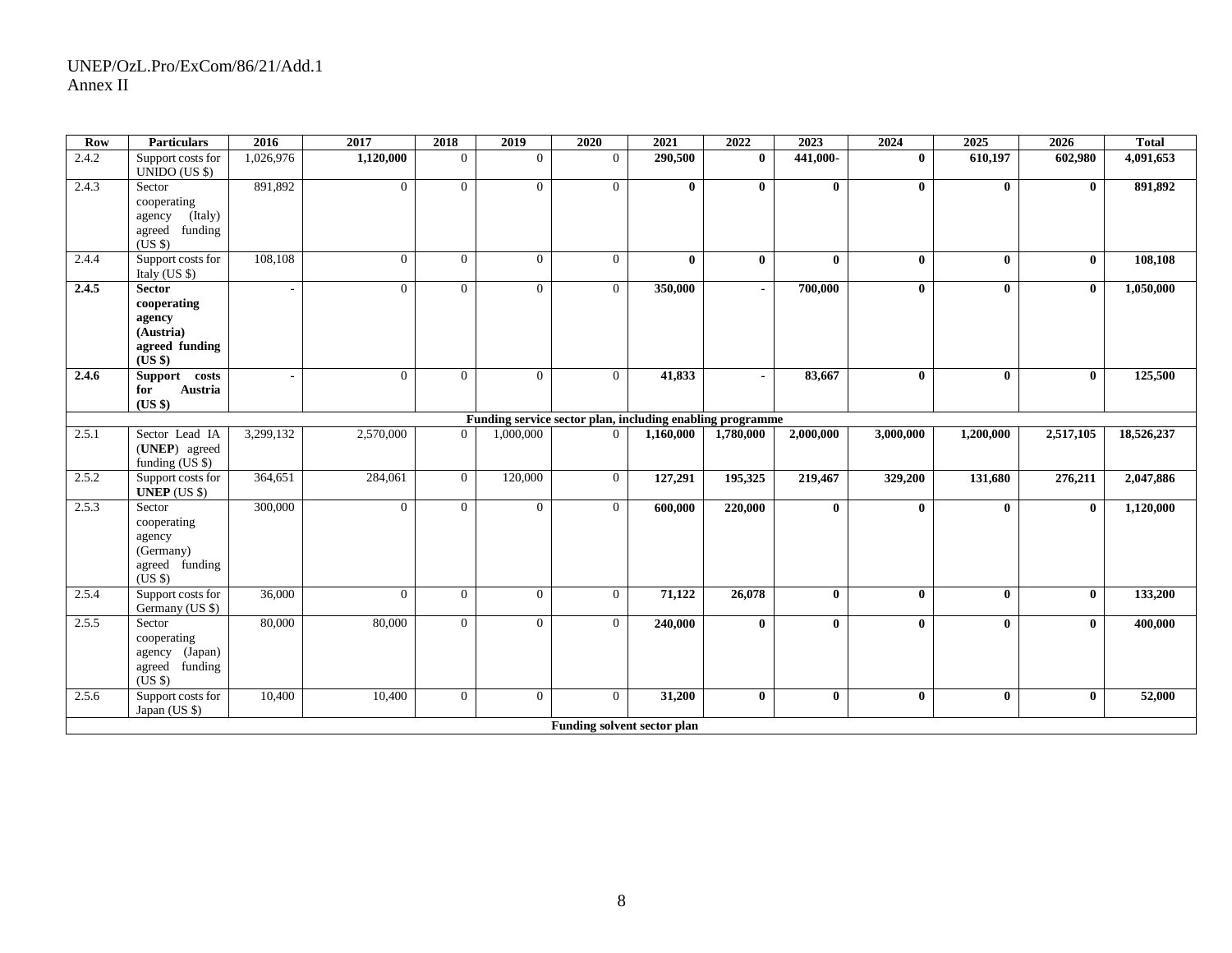| Row   | <b>Particulars</b>                                                               | 2016      | 2017           | 2018           | 2019           | 2020                        | 2021         | 2022           | 2023         | 2024         | 2025         | 2026         | <b>Total</b> |
|-------|----------------------------------------------------------------------------------|-----------|----------------|----------------|----------------|-----------------------------|--------------|----------------|--------------|--------------|--------------|--------------|--------------|
| 2.4.2 | Support costs for<br>$UNIDO (US \$))$                                            | 1,026,976 | 1,120,000      | $\overline{0}$ | $\Omega$       | $\overline{0}$              | 290,500      | $\mathbf{0}$   | 441,000-     | $\mathbf{0}$ | 610,197      | 602,980      | 4,091,653    |
| 2.4.3 | Sector<br>cooperating<br>(Italy)<br>agency<br>agreed funding<br>$(US \$          | 891,892   | $\overline{0}$ | $\overline{0}$ | $\Omega$       | $\overline{0}$              | $\mathbf{0}$ | $\mathbf{0}$   | $\mathbf{0}$ | $\mathbf{0}$ | $\mathbf{0}$ | $\mathbf{0}$ | 891,892      |
| 2.4.4 | Support costs for<br>Italy $(US \$                                               | 108,108   | $\overline{0}$ | $\overline{0}$ | $\theta$       | $\overline{0}$              | $\mathbf{0}$ | $\mathbf{0}$   | $\mathbf{0}$ | $\mathbf{0}$ | $\bf{0}$     | $\mathbf{0}$ | 108,108      |
| 2.4.5 | <b>Sector</b><br>cooperating<br>agency<br>(Austria)<br>agreed funding<br>(US \$) |           | $\overline{0}$ | $\overline{0}$ | $\Omega$       | $\overline{0}$              | 350,000      | $\blacksquare$ | 700,000      | $\bf{0}$     | $\bf{0}$     | $\mathbf{0}$ | 1,050,000    |
| 2.4.6 | Support costs<br>Austria<br>for<br>(US \$)                                       |           | $\Omega$       | $\Omega$       | $\Omega$       | $\Omega$                    | 41,833       | $\blacksquare$ | 83,667       | $\bf{0}$     | $\mathbf{0}$ | $\mathbf{0}$ | 125,500      |
|       | Funding service sector plan, including enabling programme                        |           |                |                |                |                             |              |                |              |              |              |              |              |
| 2.5.1 | Sector Lead IA<br>(UNEP) agreed<br>funding (US \$)                               | 3,299,132 | 2,570,000      | $\Omega$       | 1,000,000      | $\Omega$                    | 1,160,000    | 1,780,000      | 2,000,000    | 3,000,000    | 1,200,000    | 2,517,105    | 18,526,237   |
| 2.5.2 | Support costs for<br>UNEP $(US S)$                                               | 364,651   | 284,061        | $\overline{0}$ | 120,000        | $\overline{0}$              | 127,291      | 195,325        | 219,467      | 329,200      | 131,680      | 276,211      | 2,047,886    |
| 2.5.3 | Sector<br>cooperating<br>agency<br>(Germany)<br>agreed funding<br>(USS)          | 300,000   | $\overline{0}$ | $\overline{0}$ | $\Omega$       | $\overline{0}$              | 600,000      | 220,000        | $\mathbf{0}$ | $\bf{0}$     | $\bf{0}$     | $\mathbf{0}$ | 1,120,000    |
| 2.5.4 | Support costs for<br>Germany (US \$)                                             | 36,000    | $\overline{0}$ | $\overline{0}$ | $\overline{0}$ | $\overline{0}$              | 71,122       | 26,078         | $\mathbf{0}$ | $\mathbf{0}$ | $\mathbf{0}$ | $\mathbf{0}$ | 133,200      |
| 2.5.5 | Sector<br>cooperating<br>agency (Japan)<br>agreed funding<br>$(US \$             | 80,000    | 80,000         | $\overline{0}$ | $\Omega$       | $\overline{0}$              | 240,000      | $\mathbf{0}$   | $\mathbf{0}$ | $\mathbf{0}$ | $\mathbf{0}$ | $\mathbf{0}$ | 400,000      |
| 2.5.6 | Support costs for<br>Japan (US \$)                                               | 10,400    | 10,400         | $\overline{0}$ | $\Omega$       | $\overline{0}$              | 31,200       | $\mathbf{0}$   | $\mathbf{0}$ | $\mathbf{0}$ | $\bf{0}$     | $\mathbf{0}$ | 52,000       |
|       |                                                                                  |           |                |                |                | Funding solvent sector plan |              |                |              |              |              |              |              |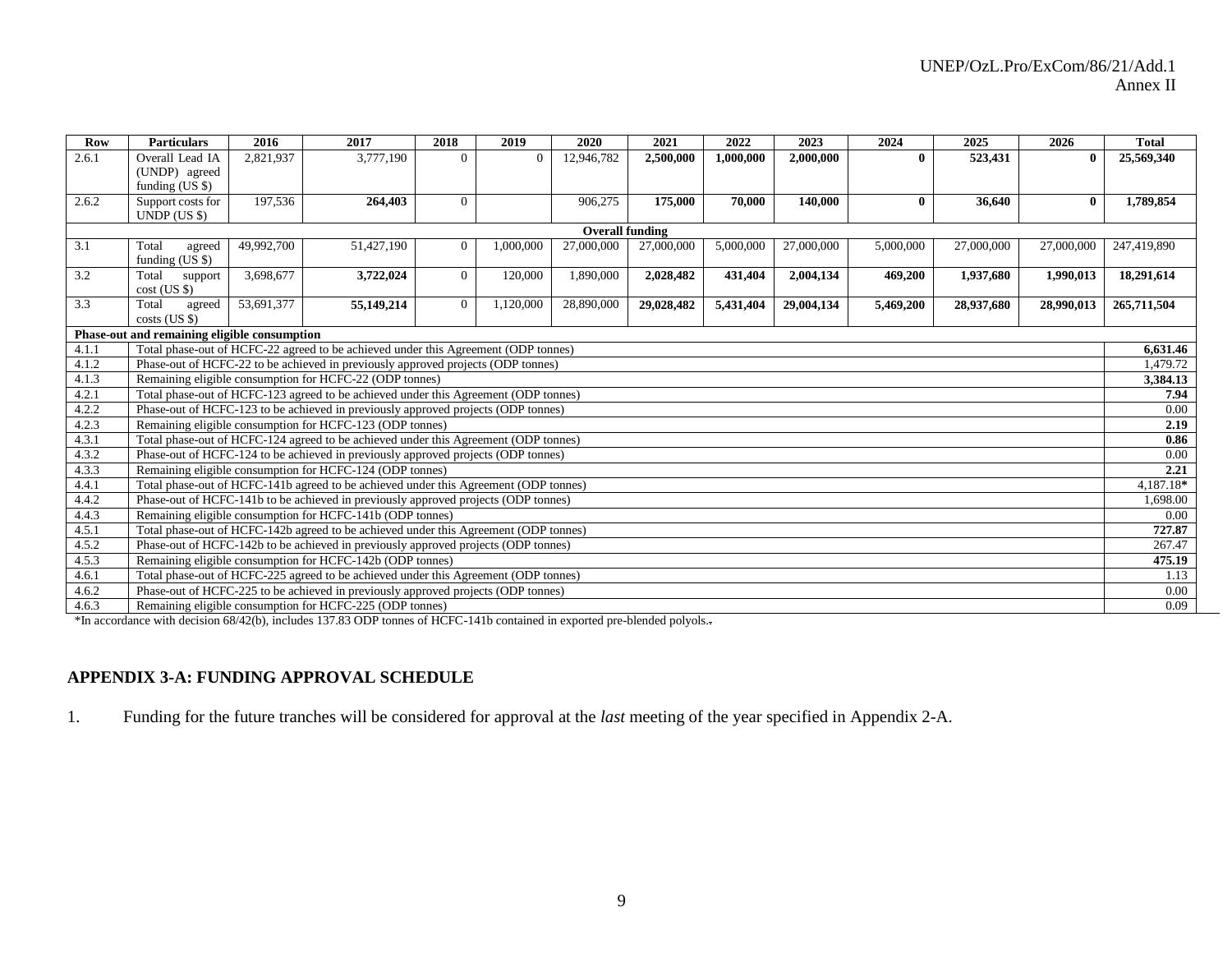| Row                                          | <b>Particulars</b>                                                                 | 2016       | 2017                                                                                 | 2018           | 2019      | 2020       | 2021       | 2022      | 2023       | 2024         | 2025       | 2026       | <b>Total</b> |
|----------------------------------------------|------------------------------------------------------------------------------------|------------|--------------------------------------------------------------------------------------|----------------|-----------|------------|------------|-----------|------------|--------------|------------|------------|--------------|
| 2.6.1                                        | Overall Lead IA                                                                    | 2,821,937  | 3,777,190                                                                            | $\Omega$       | $\Omega$  | 12,946,782 | 2,500,000  | 1,000,000 | 2,000,000  | $\mathbf{0}$ | 523,431    |            | 25,569,340   |
|                                              | (UNDP) agreed                                                                      |            |                                                                                      |                |           |            |            |           |            |              |            |            |              |
|                                              | funding $(US \$                                                                    |            |                                                                                      |                |           |            |            |           |            |              |            |            |              |
| 2.6.2                                        | Support costs for                                                                  | 197,536    | 264,403                                                                              | $\theta$       |           | 906,275    | 175,000    | 70.000    | 140,000    | $\mathbf{0}$ | 36,640     | $\bf{0}$   | 1,789,854    |
|                                              | UNDP (US S)                                                                        |            |                                                                                      |                |           |            |            |           |            |              |            |            |              |
|                                              | <b>Overall funding</b>                                                             |            |                                                                                      |                |           |            |            |           |            |              |            |            |              |
| 3.1                                          | Total<br>agreed<br>funding $(US \$                                                 | 49,992,700 | 51,427,190                                                                           | $\theta$       | 1,000,000 | 27,000,000 | 27,000,000 | 5,000,000 | 27,000,000 | 5,000,000    | 27,000,000 | 27,000,000 | 247,419,890  |
| 3.2                                          | Total<br>support<br>$cost$ (US \$)                                                 | 3,698,677  | 3,722,024                                                                            | $\overline{0}$ | 120,000   | 1,890,000  | 2,028,482  | 431,404   | 2,004,134  | 469,200      | 1,937,680  | 1,990,013  | 18,291,614   |
| 3.3                                          | Total<br>agreed<br>$costs$ (US \$)                                                 | 53,691,377 | 55,149,214                                                                           | $\overline{0}$ | 1,120,000 | 28,890,000 | 29,028,482 | 5,431,404 | 29,004,134 | 5,469,200    | 28,937,680 | 28,990,013 | 265,711,504  |
| Phase-out and remaining eligible consumption |                                                                                    |            |                                                                                      |                |           |            |            |           |            |              |            |            |              |
| 4.1.1                                        | Total phase-out of HCFC-22 agreed to be achieved under this Agreement (ODP tonnes) |            |                                                                                      |                |           |            |            |           |            |              |            |            | 6.631.46     |
| 4.1.2                                        | Phase-out of HCFC-22 to be achieved in previously approved projects (ODP tonnes)   |            |                                                                                      |                |           |            |            |           |            |              |            |            | 1,479.72     |
| 4.1.3                                        |                                                                                    |            | Remaining eligible consumption for HCFC-22 (ODP tonnes)                              |                |           |            |            |           |            |              |            |            | 3,384.13     |
| 4.2.1                                        |                                                                                    |            | Total phase-out of HCFC-123 agreed to be achieved under this Agreement (ODP tonnes)  |                |           |            |            |           |            |              |            |            | 7.94         |
| 4.2.2                                        |                                                                                    |            | Phase-out of HCFC-123 to be achieved in previously approved projects (ODP tonnes)    |                |           |            |            |           |            |              |            |            | 0.00         |
| 4.2.3                                        |                                                                                    |            | Remaining eligible consumption for HCFC-123 (ODP tonnes)                             |                |           |            |            |           |            |              |            |            | 2.19         |
| 4.3.1                                        |                                                                                    |            | Total phase-out of HCFC-124 agreed to be achieved under this Agreement (ODP tonnes)  |                |           |            |            |           |            |              |            |            | 0.86         |
| 4.3.2                                        |                                                                                    |            | Phase-out of HCFC-124 to be achieved in previously approved projects (ODP tonnes)    |                |           |            |            |           |            |              |            |            | 0.00         |
| 4.3.3                                        |                                                                                    |            | Remaining eligible consumption for HCFC-124 (ODP tonnes)                             |                |           |            |            |           |            |              |            |            | 2.21         |
| 4.4.1                                        |                                                                                    |            | Total phase-out of HCFC-141b agreed to be achieved under this Agreement (ODP tonnes) |                |           |            |            |           |            |              |            |            | 4.187.18*    |
| 4.4.2                                        |                                                                                    |            | Phase-out of HCFC-141b to be achieved in previously approved projects (ODP tonnes)   |                |           |            |            |           |            |              |            |            | .698.00      |
| 4.4.3                                        |                                                                                    |            | Remaining eligible consumption for HCFC-141b (ODP tonnes)                            |                |           |            |            |           |            |              |            |            | 0.00         |
| 4.5.1                                        |                                                                                    |            | Total phase-out of HCFC-142b agreed to be achieved under this Agreement (ODP tonnes) |                |           |            |            |           |            |              |            |            | 727.87       |
| 4.5.2                                        |                                                                                    |            | Phase-out of HCFC-142b to be achieved in previously approved projects (ODP tonnes)   |                |           |            |            |           |            |              |            |            | 267.47       |
| 4.5.3                                        |                                                                                    |            | Remaining eligible consumption for HCFC-142b (ODP tonnes)                            |                |           |            |            |           |            |              |            |            | 475.19       |
| 4.6.1                                        |                                                                                    |            | Total phase-out of HCFC-225 agreed to be achieved under this Agreement (ODP tonnes)  |                |           |            |            |           |            |              |            |            | 1.13         |
| 4.6.2                                        |                                                                                    |            | Phase-out of HCFC-225 to be achieved in previously approved projects (ODP tonnes)    |                |           |            |            |           |            |              |            |            | $0.00\,$     |
| 4.6.3                                        |                                                                                    |            | Remaining eligible consumption for HCFC-225 (ODP tonnes)                             |                |           |            |            |           |            |              |            |            | 0.09         |

\*In accordance with decision 68/42(b), includes 137.83 ODP tonnes of HCFC-141b contained in exported pre-blended polyols..

# **APPENDIX 3-A: FUNDING APPROVAL SCHEDULE**

1. Funding for the future tranches will be considered for approval at the *last* meeting of the year specified in Appendix 2-A.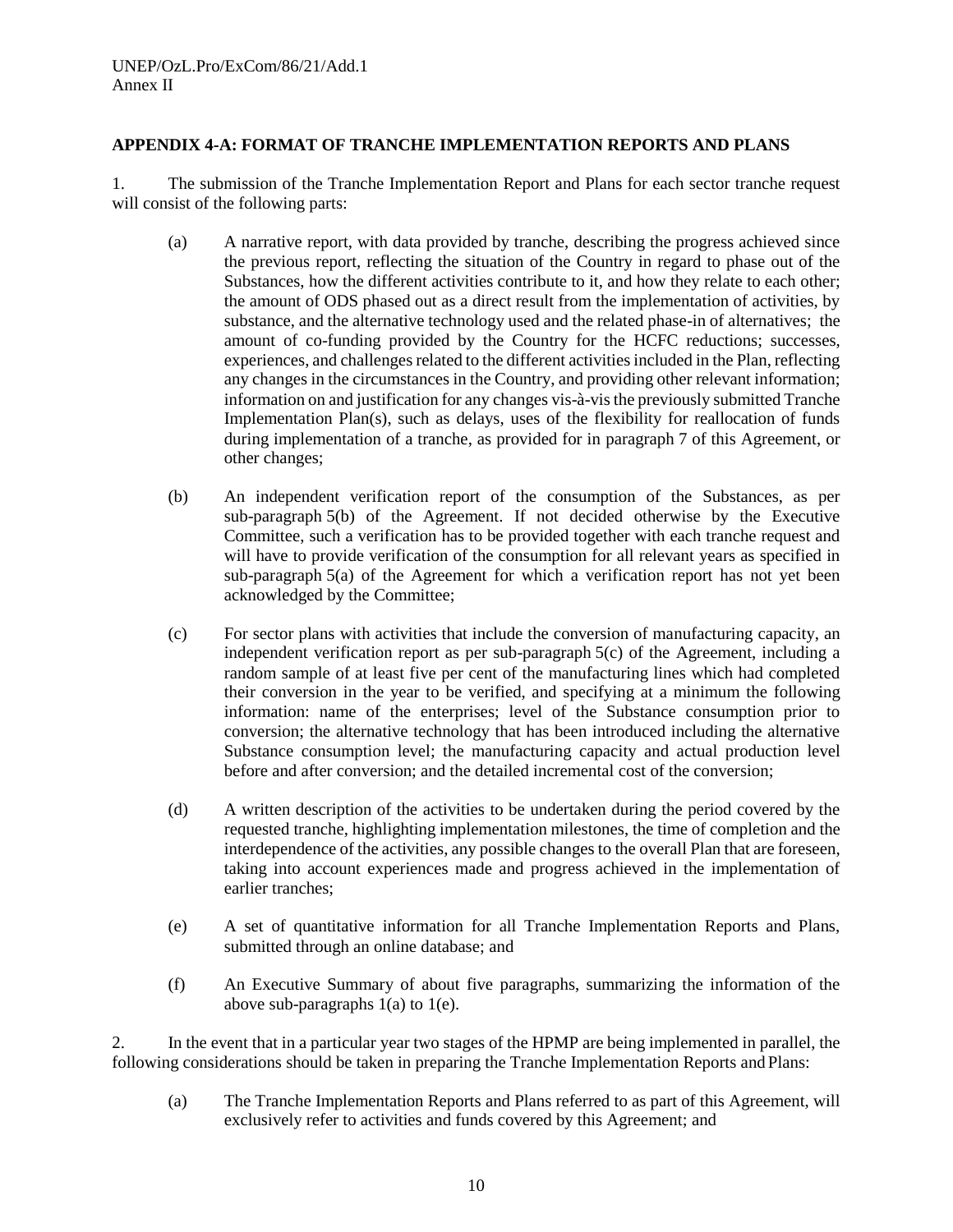## **APPENDIX 4-A: FORMAT OF TRANCHE IMPLEMENTATION REPORTS AND PLANS**

1. The submission of the Tranche Implementation Report and Plans for each sector tranche request will consist of the following parts:

- (a) A narrative report, with data provided by tranche, describing the progress achieved since the previous report, reflecting the situation of the Country in regard to phase out of the Substances, how the different activities contribute to it, and how they relate to each other; the amount of ODS phased out as a direct result from the implementation of activities, by substance, and the alternative technology used and the related phase-in of alternatives; the amount of co-funding provided by the Country for the HCFC reductions; successes, experiences, and challenges related to the different activities included in the Plan, reflecting any changes in the circumstances in the Country, and providing other relevant information; information on and justification for any changes vis-à-vis the previously submitted Tranche Implementation Plan(s), such as delays, uses of the flexibility for reallocation of funds during implementation of a tranche, as provided for in paragraph 7 of this Agreement, or other changes;
- (b) An independent verification report of the consumption of the Substances, as per sub-paragraph 5(b) of the Agreement. If not decided otherwise by the Executive Committee, such a verification has to be provided together with each tranche request and will have to provide verification of the consumption for all relevant years as specified in sub-paragraph 5(a) of the Agreement for which a verification report has not yet been acknowledged by the Committee;
- (c) For sector plans with activities that include the conversion of manufacturing capacity, an independent verification report as per sub-paragraph 5(c) of the Agreement, including a random sample of at least five per cent of the manufacturing lines which had completed their conversion in the year to be verified, and specifying at a minimum the following information: name of the enterprises; level of the Substance consumption prior to conversion; the alternative technology that has been introduced including the alternative Substance consumption level; the manufacturing capacity and actual production level before and after conversion; and the detailed incremental cost of the conversion;
- (d) A written description of the activities to be undertaken during the period covered by the requested tranche, highlighting implementation milestones, the time of completion and the interdependence of the activities, any possible changes to the overall Plan that are foreseen, taking into account experiences made and progress achieved in the implementation of earlier tranches;
- (e) A set of quantitative information for all Tranche Implementation Reports and Plans, submitted through an online database; and
- (f) An Executive Summary of about five paragraphs, summarizing the information of the above sub-paragraphs 1(a) to 1(e).

2. In the event that in a particular year two stages of the HPMP are being implemented in parallel, the following considerations should be taken in preparing the Tranche Implementation Reports and Plans:

(a) The Tranche Implementation Reports and Plans referred to as part of this Agreement, will exclusively refer to activities and funds covered by this Agreement; and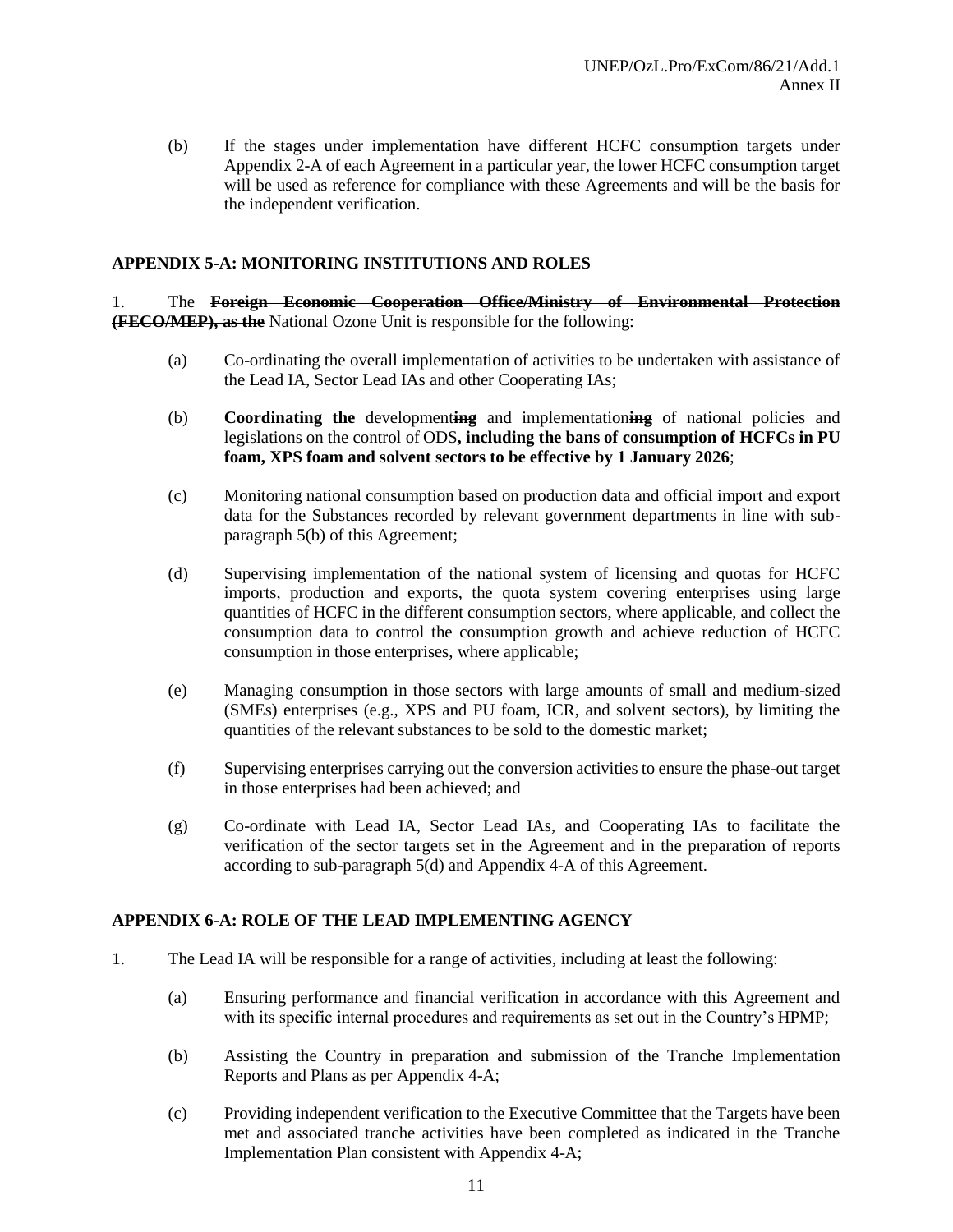(b) If the stages under implementation have different HCFC consumption targets under Appendix 2-A of each Agreement in a particular year, the lower HCFC consumption target will be used as reference for compliance with these Agreements and will be the basis for the independent verification.

#### **APPENDIX 5-A: MONITORING INSTITUTIONS AND ROLES**

1. The **Foreign Economic Cooperation Office/Ministry of Environmental Protection (FECO/MEP), as the** National Ozone Unit is responsible for the following:

- (a) Co-ordinating the overall implementation of activities to be undertaken with assistance of the Lead IA, Sector Lead IAs and other Cooperating IAs;
- (b) **Coordinating the** development**ing** and implementation**ing** of national policies and legislations on the control of ODS**, including the bans of consumption of HCFCs in PU foam, XPS foam and solvent sectors to be effective by 1 January 2026**;
- (c) Monitoring national consumption based on production data and official import and export data for the Substances recorded by relevant government departments in line with subparagraph 5(b) of this Agreement;
- (d) Supervising implementation of the national system of licensing and quotas for HCFC imports, production and exports, the quota system covering enterprises using large quantities of HCFC in the different consumption sectors, where applicable, and collect the consumption data to control the consumption growth and achieve reduction of HCFC consumption in those enterprises, where applicable;
- (e) Managing consumption in those sectors with large amounts of small and medium-sized (SMEs) enterprises (e.g., XPS and PU foam, ICR, and solvent sectors), by limiting the quantities of the relevant substances to be sold to the domestic market;
- (f) Supervising enterprises carrying out the conversion activities to ensure the phase-out target in those enterprises had been achieved; and
- (g) Co-ordinate with Lead IA, Sector Lead IAs, and Cooperating IAs to facilitate the verification of the sector targets set in the Agreement and in the preparation of reports according to sub-paragraph 5(d) and Appendix 4-A of this Agreement.

#### **APPENDIX 6-A: ROLE OF THE LEAD IMPLEMENTING AGENCY**

- 1. The Lead IA will be responsible for a range of activities, including at least the following:
	- (a) Ensuring performance and financial verification in accordance with this Agreement and with its specific internal procedures and requirements as set out in the Country's HPMP;
	- (b) Assisting the Country in preparation and submission of the Tranche Implementation Reports and Plans as per Appendix 4-A;
	- (c) Providing independent verification to the Executive Committee that the Targets have been met and associated tranche activities have been completed as indicated in the Tranche Implementation Plan consistent with Appendix 4-A;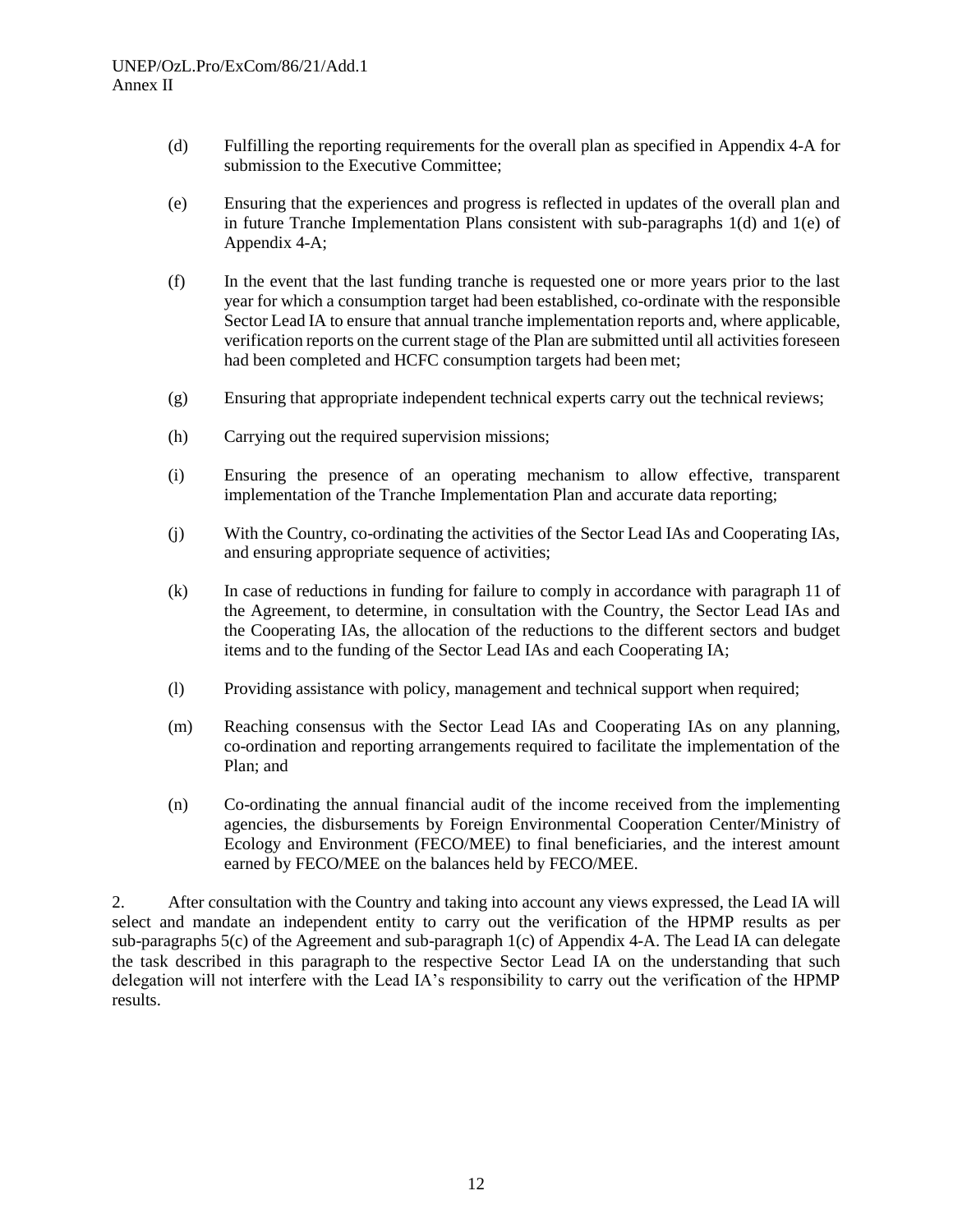- (d) Fulfilling the reporting requirements for the overall plan as specified in Appendix 4-A for submission to the Executive Committee;
- (e) Ensuring that the experiences and progress is reflected in updates of the overall plan and in future Tranche Implementation Plans consistent with sub-paragraphs 1(d) and 1(e) of Appendix 4-A;
- (f) In the event that the last funding tranche is requested one or more years prior to the last year for which a consumption target had been established, co-ordinate with the responsible Sector Lead IA to ensure that annual tranche implementation reports and, where applicable, verification reports on the current stage of the Plan are submitted until all activities foreseen had been completed and HCFC consumption targets had been met;
- (g) Ensuring that appropriate independent technical experts carry out the technical reviews;
- (h) Carrying out the required supervision missions;
- (i) Ensuring the presence of an operating mechanism to allow effective, transparent implementation of the Tranche Implementation Plan and accurate data reporting;
- (j) With the Country, co-ordinating the activities of the Sector Lead IAs and Cooperating IAs, and ensuring appropriate sequence of activities;
- (k) In case of reductions in funding for failure to comply in accordance with paragraph 11 of the Agreement, to determine, in consultation with the Country, the Sector Lead IAs and the Cooperating IAs, the allocation of the reductions to the different sectors and budget items and to the funding of the Sector Lead IAs and each Cooperating IA;
- (l) Providing assistance with policy, management and technical support when required;
- (m) Reaching consensus with the Sector Lead IAs and Cooperating IAs on any planning, co-ordination and reporting arrangements required to facilitate the implementation of the Plan; and
- (n) Co-ordinating the annual financial audit of the income received from the implementing agencies, the disbursements by Foreign Environmental Cooperation Center/Ministry of Ecology and Environment (FECO/MEE) to final beneficiaries, and the interest amount earned by FECO/MEE on the balances held by FECO/MEE.

2. After consultation with the Country and taking into account any views expressed, the Lead IA will select and mandate an independent entity to carry out the verification of the HPMP results as per sub-paragraphs 5(c) of the Agreement and sub-paragraph 1(c) of Appendix 4-A. The Lead IA can delegate the task described in this paragraph to the respective Sector Lead IA on the understanding that such delegation will not interfere with the Lead IA's responsibility to carry out the verification of the HPMP results.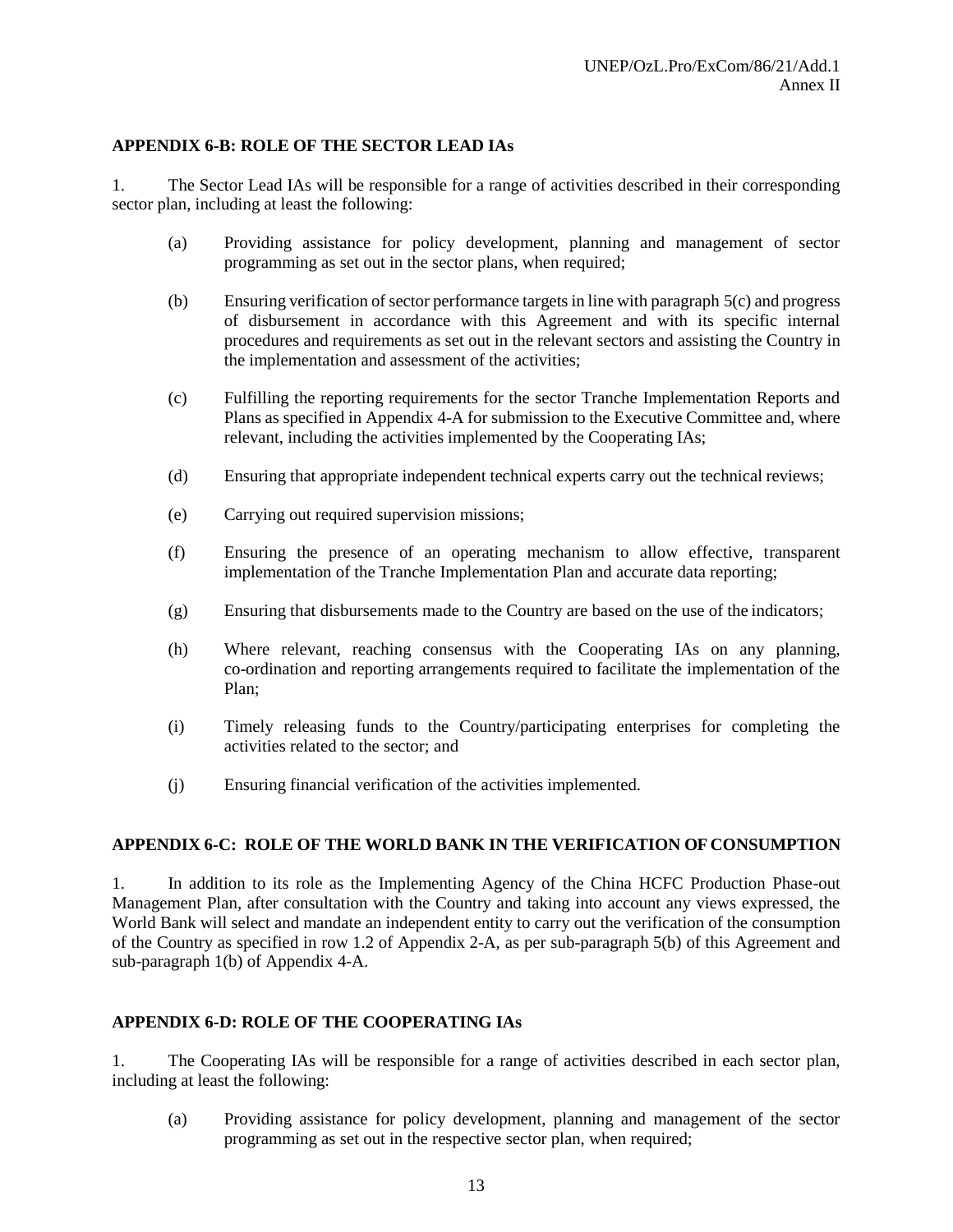# **APPENDIX 6-B: ROLE OF THE SECTOR LEAD IAs**

1. The Sector Lead IAs will be responsible for a range of activities described in their corresponding sector plan, including at least the following:

- (a) Providing assistance for policy development, planning and management of sector programming as set out in the sector plans, when required;
- (b) Ensuring verification of sector performance targets in line with paragraph 5(c) and progress of disbursement in accordance with this Agreement and with its specific internal procedures and requirements as set out in the relevant sectors and assisting the Country in the implementation and assessment of the activities;
- (c) Fulfilling the reporting requirements for the sector Tranche Implementation Reports and Plans as specified in Appendix 4-A for submission to the Executive Committee and, where relevant, including the activities implemented by the Cooperating IAs;
- (d) Ensuring that appropriate independent technical experts carry out the technical reviews;
- (e) Carrying out required supervision missions;
- (f) Ensuring the presence of an operating mechanism to allow effective, transparent implementation of the Tranche Implementation Plan and accurate data reporting;
- (g) Ensuring that disbursements made to the Country are based on the use of the indicators;
- (h) Where relevant, reaching consensus with the Cooperating IAs on any planning, co-ordination and reporting arrangements required to facilitate the implementation of the Plan;
- (i) Timely releasing funds to the Country/participating enterprises for completing the activities related to the sector; and
- (j) Ensuring financial verification of the activities implemented.

#### **APPENDIX 6-C: ROLE OF THE WORLD BANK IN THE VERIFICATION OF CONSUMPTION**

1. In addition to its role as the Implementing Agency of the China HCFC Production Phase-out Management Plan, after consultation with the Country and taking into account any views expressed, the World Bank will select and mandate an independent entity to carry out the verification of the consumption of the Country as specified in row 1.2 of Appendix 2-A, as per sub-paragraph 5(b) of this Agreement and sub-paragraph 1(b) of Appendix 4-A.

### **APPENDIX 6-D: ROLE OF THE COOPERATING IAs**

1. The Cooperating IAs will be responsible for a range of activities described in each sector plan, including at least the following:

(a) Providing assistance for policy development, planning and management of the sector programming as set out in the respective sector plan, when required;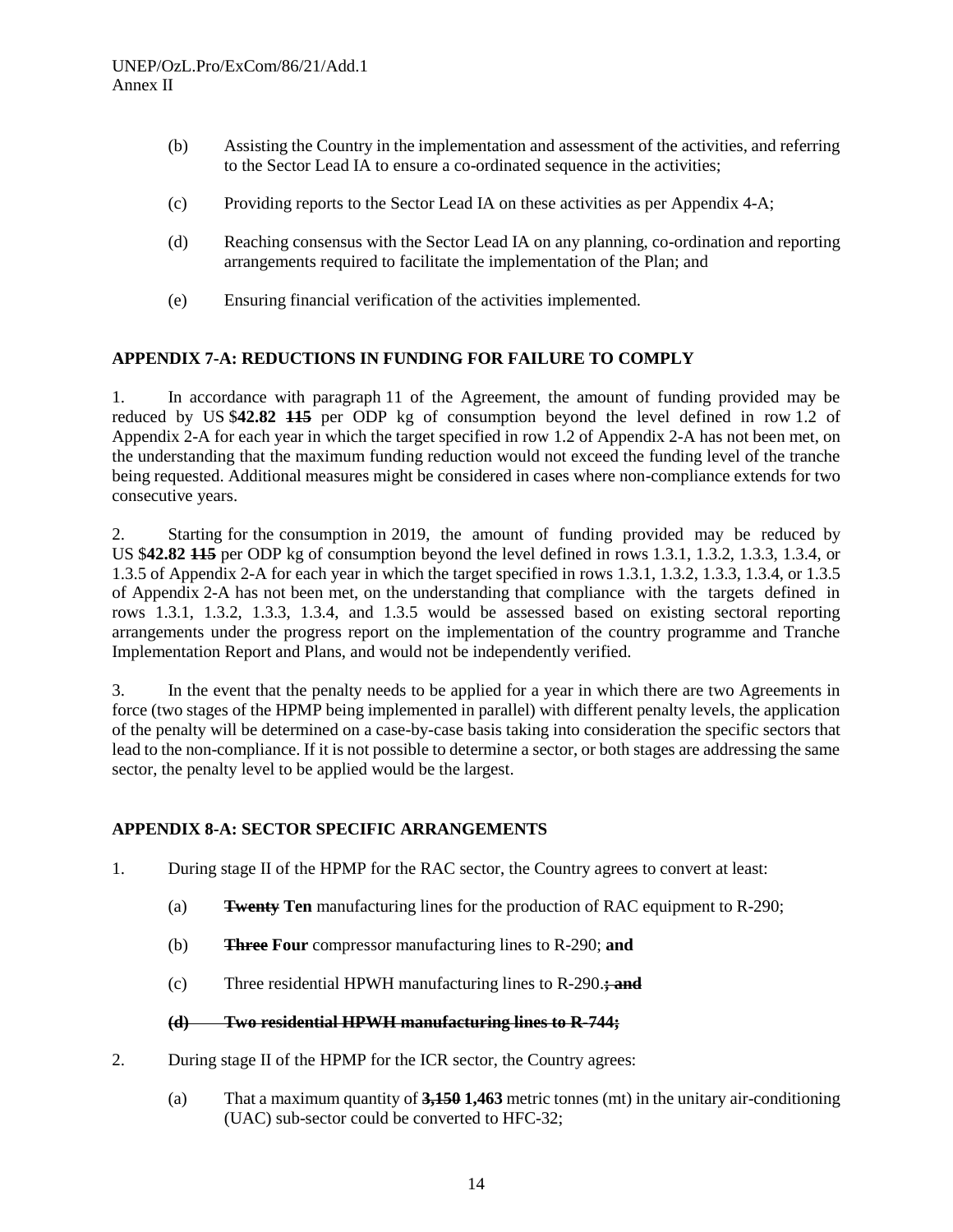- (b) Assisting the Country in the implementation and assessment of the activities, and referring to the Sector Lead IA to ensure a co-ordinated sequence in the activities;
- (c) Providing reports to the Sector Lead IA on these activities as per Appendix 4-A;
- (d) Reaching consensus with the Sector Lead IA on any planning, co-ordination and reporting arrangements required to facilitate the implementation of the Plan; and
- (e) Ensuring financial verification of the activities implemented.

### **APPENDIX 7-A: REDUCTIONS IN FUNDING FOR FAILURE TO COMPLY**

1. In accordance with paragraph 11 of the Agreement, the amount of funding provided may be reduced by US \$**42.82 115** per ODP kg of consumption beyond the level defined in row 1.2 of Appendix 2-A for each year in which the target specified in row 1.2 of Appendix 2-A has not been met, on the understanding that the maximum funding reduction would not exceed the funding level of the tranche being requested. Additional measures might be considered in cases where non-compliance extends for two consecutive years.

2. Starting for the consumption in 2019, the amount of funding provided may be reduced by US \$**42.82 115** per ODP kg of consumption beyond the level defined in rows 1.3.1, 1.3.2, 1.3.3, 1.3.4, or 1.3.5 of Appendix 2-A for each year in which the target specified in rows 1.3.1, 1.3.2, 1.3.3, 1.3.4, or 1.3.5 of Appendix 2-A has not been met, on the understanding that compliance with the targets defined in rows 1.3.1, 1.3.2, 1.3.3, 1.3.4, and 1.3.5 would be assessed based on existing sectoral reporting arrangements under the progress report on the implementation of the country programme and Tranche Implementation Report and Plans, and would not be independently verified.

3. In the event that the penalty needs to be applied for a year in which there are two Agreements in force (two stages of the HPMP being implemented in parallel) with different penalty levels, the application of the penalty will be determined on a case-by-case basis taking into consideration the specific sectors that lead to the non-compliance. If it is not possible to determine a sector, or both stages are addressing the same sector, the penalty level to be applied would be the largest.

# **APPENDIX 8-A: SECTOR SPECIFIC ARRANGEMENTS**

- 1. During stage II of the HPMP for the RAC sector, the Country agrees to convert at least:
	- (a) **Twenty Ten** manufacturing lines for the production of RAC equipment to R-290;
	- (b) **Three Four** compressor manufacturing lines to R-290; **and**
	- (c) Three residential HPWH manufacturing lines to R-290.**; and**

#### **(d) Two residential HPWH manufacturing lines to R-744;**

- 2. During stage II of the HPMP for the ICR sector, the Country agrees:
	- (a) That a maximum quantity of **3,150 1,463** metric tonnes (mt) in the unitary air-conditioning (UAC) sub-sector could be converted to HFC-32;